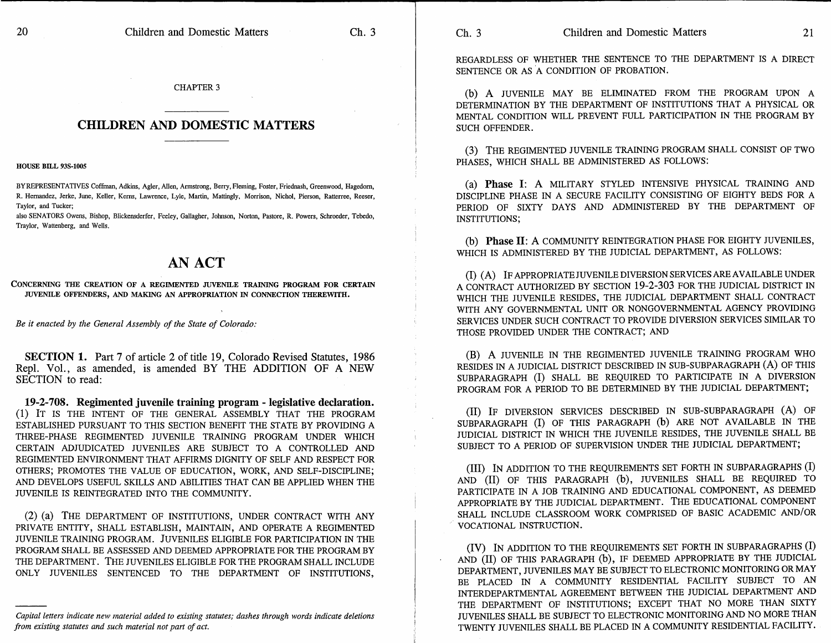REGARDLESS OF WHETHER THE SENTENCE TO THE DEPARTMENT IS A DIRECT SENTENCE OR AS A CONDITION OF PROBATION.

(b) A JUVENILE MAY BE ELIMINATED FROM THE PROGRAM UPON A DETERMINATION BY THE DEPARTMENT OF INSTITUTIONS THAT A PHYSICAL OR MENTAL CONDITION WILL PREVENT FULL PARTICIPATION IN THE PROGRAM BY SUCH OFFENDER.

(3) THE REGIMENTED JUVENILE TRAINING PROGRAM SHALL CONSIST OF TWO PHASES, WHICH SHALL BE ADMINISTERED AS FOLLOWS:

(a) Phase I: A MILITARY STYLED INTENSIVE PHYSICAL TRAINING AND DISCIPLINE PHASE IN A SECURE FACILITY CONSISTING OF EIGHTY BEDS FOR A PERIOD OF SIXTY DAYS AND ADMINISTERED BY THE DEPARTMENT OF INSTITUTIONS;

(b) Phase II: A COMMUNITY REINTEGRATION PHASE FOR EIGHTY JUVENILES, WHICH IS ADMINISTERED BY THE JUDICIAL DEPARTMENT, AS FOLLOWS:

(I) (A) IF APPROPRIATE JUVENILE DIVERSION SERVICES ARE AVAILABLE UNDER A CONTRACT AUTHORIZED BY SECTION 19-2-303 FOR THE JUDICIAL DISTRICT IN WHICH THE JUVENILE RESIDES, THE JUDICIAL DEPARTMENT SHALL CONTRACT WITH ANY GOVERNMENTAL UNIT OR NONGOVERNMENTAL AGENCY PROVIDING SERVICES UNDER SUCH CONTRACT TO PROVIDE DIVERSION SERVICES SIMILAR TO THOSE PROVIDED UNDER THE CONTRACT; AND

(B) A JUVENILE IN THE REGIMENTED JUVENILE TRAINING PROGRAM WHO RESIDES IN A JUDICIAL DISTRICT DESCRIBED IN SUB-SUBPARAGRAPH (A) OF THIS SUBPARAGRAPH (I) SHALL BE REQUIRED TO PARTICIPATE IN A DIVERSION PROGRAM FOR A PERIOD TO BE DETERMINED BY THE JUDICIAL DEPARTMENT;

(II) IF DIVERSION SERVICES DESCRIBED IN SUB-SUBPARAGRAPH (A) OF SUBPARAGRAPH (I) OF THIS PARAGRAPH (b) ARE NOT AVAILABLE IN THE JUDICIAL DISTRICT IN WHICH THE JUVENILE RESIDES, THE JUVENILE SHALL BE SUBJECT TO A PERIOD OF SUPERVISION UNDER THE JUDICIAL DEPARTMENT;

(III) IN ADDITION TO THE REQUIREMENTS SET FORTH IN SUBPARAGRAPHS (I) AND (II) OF THIS PARAGRAPH (b), JUVENILES SHALL BE REQUIRED TO PARTICIPATE IN A JOB TRAINING AND EDUCATIONAL COMPONENT, AS DEEMED APPROPRIATE BY THE JUDICIAL DEPARTMENT. THE EDUCATIONAL COMPONENT SHALL INCLUDE CLASSROOM WORK COMPRISED OF BASIC ACADEMIC AND/OR VOCATIONAL INSTRUCTION.

(IV) IN ADDITION TO THE REQUIREMENTS SET FORTH IN SUBPARAGRAPHS (I) AND (II) OF THIS PARAGRAPH (b), IF DEEMED APPROPRIATE BY THE JUDICIAL DEPARTMENT, JUVENILES MAY BE SUBJECT TO ELECTRONIC MONITORING OR MAY BE PLACED IN A COMMUNITY RESIDENTIAL FACILITY SUBJECT TO AN INTERDEPARTMENTAL AGREEMENT BETWEEN THE JUDICIAL DEPARTMENT AND THE DEPARTMENT OF INSTITUTIONS; EXCEPT THAT NO MORE THAN SIXTY JUVENILES SHALL BE SUBJECT TO ELECTRONIC MONITORING AND NO MORE THAN TWENTY JUVENILES SHALL BE PLACED IN A COMMUNITY RESIDENTIAL FACILITY.

## CHAPTER 3

## **CHILDREN AND DOMESTIC MATTERS**

## HOUSE BILL 93S-100S

BYREPRESENTATIVES Coffman, Adkins, Agler, Allen, Armstrong, Berry, Fleming, Foster, Friednash, Greenwood, Hagedorn, R. Hernandez, Jerke, June, Keller, Kerns, Lawrence, Lyle, Martin, Mattingly, Morrison, Nichol, Pierson, Ratterree, Reeser, Taylor, and Tucker;

also SENATORS Owens, Bishop, Blickensderfer, Feeley, Gallagher, Johnson, Norton, Pastore, R. Powers, Schroeder, Tebedo, Traylor, Wattenberg, and Wells.

## AN ACT

CONCERNING THE CREATION OF A REGIMENTED JUVENILE TRAINING PROGRAM FOR CERTAIN JUVENILE OFFENDERS, AND MAKING AN APPROPRIATION IN CONNECTION THEREWITH.

*Be it enacted by the General Assembly of the State of Colorado:* 

SECTION 1. Part 7 of article 2 of title 19, Colorado Revised Statutes, 1986 Repl. Vol., as amended, is amended BY THE ADDITION OF A NEW SECTION to read:

19-2-708. Regimented juvenile training program - legislative declaration. (1) IT IS THE INTENT OF THE GENERAL ASSEMBLY THAT THE PROGRAM ESTABLISHED PURSUANT TO THIS SECTION BENEFIT THE STATE BY PROVIDING A THREE-PHASE REGIMENTED JUVENILE TRAINING PROGRAM UNDER WHICH CERTAIN ADJUDICATED JUVENILES ARE SUBJECT TO A CONTROLLED AND REGIMENTED ENVIRONMENT THAT AFFIRMS DIGNITY OF SELF AND RESPECT FOR OTHERS; PROMOTES THE VALUE OF EDUCATION, WORK, AND SELF-DISCIPLINE; AND DEVELOPS USEFUL SKILLS AND ABILITIES THAT CAN BE APPLIED WHEN THE JUVENILE IS REINTEGRATED INTO THE COMMUNITY.

(2) (a) THE DEPARTMENT OF INSTITUTIONS, UNDER CONTRACT WITH ANY PRIVATE ENTITY, SHALL ESTABLISH, MAINTAIN, AND OPERATE A REGIMENTED JUVENILE TRAINING PROGRAM. JUVENILES ELIGIBLE FOR PARTICIPATION IN THE PROGRAM SHALL BE ASSESSED AND DEEMED APPROPRIATE FOR THE PROGRAM BY THE DEPARTMENT. THE JUVENILES ELIGIBLE FOR THE PROGRAM SHALL INCLUDE ONLY JUVENILES SENTENCED TO THE DEPARTMENT OF INSTITUTIONS,

*Capital letters indicate new material added to existing statutes; dashes through words indicate deletions from existing statutes and such material not part of act.*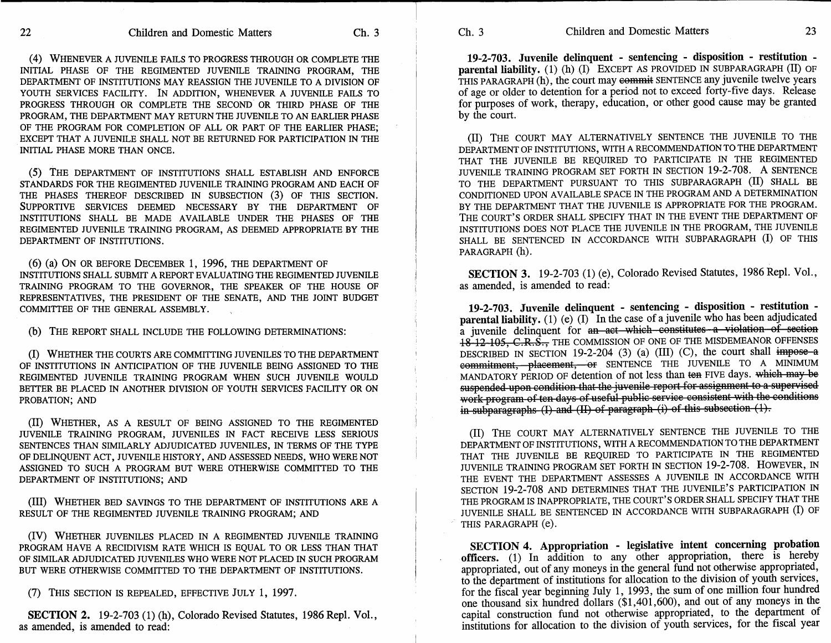(4) WHENEVER A JUVENILE FAILS TO PROGRESS THROUGH OR COMPLETE THE INITIAL PHASE OF THE REGIMENTED JUVENILE TRAINING PROGRAM, THE DEPARTMENT OF INSTITUTIONS MAY REASSIGN THE JUVENILE TO A DIVISION OF YOUTH SERVICES FACILITY. IN ADDITION, WHENEVER A JUVENILE FAILS TO PROGRESS THROUGH OR COMPLETE THE SECOND OR THIRD PHASE OF THE PROGRAM, THE DEPARTMENT MAY RETURN THE JUVENILE TO AN EARLIER PHASE OF THE PROGRAM FOR COMPLETION OF ALL OR PART OF THE EARLIER PHASE; EXCEPT THAT A JUVENILE SHALL NOT BE RETURNED FOR PARTICIPATION IN THE INITIAL PHASE MORE THAN ONCE.

(5) THE DEPARTMENT OF INSTITUTIONS SHALL ESTABLISH AND ENFORCE STANDARDS FOR THE REGIMENTED JUVENILE TRAINING PROGRAM AND EACH OF THE PHASES THEREOF DESCRIBED IN SUBSECTION (3) OF THIS SECTION. SUPPORTIVE SERVICES DEEMED NECESSARY BY THE DEPARTMENT OF INSTITUTIONS SHALL BE MADE AVAILABLE UNDER THE PHASES OF THE REGIMENTED JUVENILE TRAINING PROGRAM, AS DEEMED APPROPRIATE BY THE DEPARTMENT OF INSTITUTIONS.

(6) (a) ON OR BEFORE DECEMBER 1, 1996, THE DEPARTMENT OF INSTITUTIONS SHALL SUBMIT A REPORT EVALUATING THE REGIMENTED JUVENILE TRAINING PROGRAM TO THE GOVERNOR, THE SPEAKER OF THE HOUSE OF REPRESENTATIVES, THE PRESIDENT OF THE SENATE, AND THE JOINT BUDGET COMMITTEE OF THE GENERAL ASSEMBLY.

(b) THE REPORT SHALL INCLUDE THE FOLLOWING DETERMINATIONS:

(I) WHETHER THE COURTS ARE COMMITTING JUVENILES TO THE DEPARTMENT OF INSTITUTIONS IN ANTICIPATION OF THE JUVENILE BEING ASSIGNED TO THE REGIMENTED JUVENILE TRAINING PROGRAM WHEN SUCH JUVENILE WOULD BETTER BE PLACED IN ANOTHER DIVISION OF YOUTH SERVICES FACILITY OR ON PROBATION; AND

(II) WHETHER, AS A RESULT OF BEING ASSIGNED TO THE REGIMENTED JUVENILE TRAINING PROGRAM, JUVENILES IN FACT RECEIVE LESS SERIOUS SENTENCES THAN SIMILARLY ADJUDICATED JUVENILES, IN TERMS OF THE TYPE OF DELINQUENT ACT, JUVENILE HISTORY, AND ASSESSED NEEDS, WHO WERE NOT ASSIGNED TO SUCH A PROGRAM BUT WERE OTHERWISE COMMITTED TO THE DEPARTMENT OF INSTITUTIONS; AND

(III) WHETHER BED SAVINGS TO THE DEPARTMENT OF INSTITUTIONS ARE A RESULT OF THE REGIMENTED JUVENILE TRAINING PROGRAM; AND

(IV) WHETHER JUVENILES PLACED IN A REGIMENTED JUVENILE TRAINING PROGRAM HAVE A RECIDIVISM RATE WHICH IS EQUAL TO OR LESS THAN THAT OF SIMILAR ADJUDICATED JUVENILES WHO WERE NOT PLACED IN SUCH PROGRAM BUT WERE OTHERWISE COMMITTED TO THE DEPARTMENT OF INSTITUTIONS.

(7) THIS SECTION IS REPEALED, EFFECTIVE JULY 1, 1997.

**SECTION 2.** 19-2-703 (1) (h), Colorado Revised Statutes, 1986 Repl. Vol., as amended, is amended to read:

**19-2-703. Juvenile delinquent - sentencing - disposition - restitution parental liability.** (1) (h) (I) EXCEPT AS PROVIDED IN SUBPARAGRAPH (II) OF THIS PARAGRAPH (h), the court may commit SENTENCE any juvenile twelve years of age or older to detention for a period not to exceed forty-five days. Release for purposes of work, therapy, education, or other good cause may be granted by the court.

(II) THE COURT MAY ALTERNATIVELY SENTENCE THE JUVENILE TO THE DEPARTMENT OF INSTITUTIONS, WITH A RECOMMENDATION TO THE DEPARTMENT THAT THE JUVENILE BE REQUIRED TO PARTICIPATE IN THE REGIMENTED JUVENILE TRAINING PROGRAM SET FORTH IN SECTION 19-2-708. A SENTENCE TO THE DEPARTMENT PURSUANT TO THIS SUBPARAGRAPH (II) SHALL BE CONDITIONED UPON AVAILABLE SPACE IN THE PROGRAM AND A DETERMINATION BY THE DEPARTMENT THAT THE JUVENILE IS APPROPRIATE FOR THE PROGRAM. THE COURT'S ORDER SHALL SPECIFY THAT IN THE EVENT THE DEPARTMENT OF INSTITUTIONS DOES NOT PLACE THE JUVENILE IN THE PROGRAM, THE JUVENILE SHALL BE SENTENCED IN ACCORDANCE WITH SUBPARAGRAPH (I) OF THIS PARAGRAPH (h).

**SECTION 3.** 19-2-703 (1) (e), Colorado Revised Statutes, 1986 Repl. Vol., as amended, is amended to read:

**19-2-703. Juvenile delinquent - sentencing - disposition - restitution parental liability.** (1) (e) (I) In the case of a juvenile who has been adjudicated a juvenile delinquent for an act which constitutes a violation of section 18-12-105, C.R.S., THE COMMISSION OF ONE OF THE MISDEMEANOR OFFENSES DESCRIBED IN SECTION 19-2-204 (3) (a) (III) (C), the court shall impose a commitment, placement, or SENTENCE THE JUVENILE TO A MINIMUM MANDATORY PERIOD OF detention of not less than ten FIVE days. which may be suspended-upon-condition-that-the-juvenile-report-for-assignment-to-a-supervisedwork-program-of-ten-days-of-useful-public service-consistent-with-the-conditions in subparagraphs (I) and (II) of paragraph (i) of this subsection (1).

(II) THE COURT MAY ALTERNATIVELY SENTENCE THE JUVENILE TO THE DEPARTMENT OF INSTITUTIONS, WITH A RECOMMENDATION TO THE DEPARTMENT THAT THE JUVENILE BE REQUIRED TO PARTICIPATE IN THE REGIMENTED JUVENILE TRAINING PROGRAM SET FORTH IN SECTION 19-2-708. HOWEVER, IN THE EVENT THE DEPARTMENT ASSESSES A JUVENILE IN ACCORDANCE WITH SECTION 19-2-708 AND DETERMINES THAT THE JUVENILE'S PARTICIPATION IN THE PROGRAM IS INAPPROPRIATE, THE COURT'S ORDER SHALL SPECIFY THAT THE JUVENILE SHALL BE SENTENCED IN ACCORDANCE WITH SUBPARAGRAPH (I) OF THIS PARAGRAPH (e).

**SECTION** 4. **Appropriation - legislative intent concerning probation**  officers. (1) In addition to any other appropriation, there is hereby appropriated, out of any moneys in the general fund not otherwise appropriated, to the department of institutions for allocation to the division of youth services, for the fiscal year beginning July 1, 1993, the sum of one million four hundred one thousand six hundred dollars (\$1,401,600), and out of any moneys in the capital construction fund not otherwise appropriated, to the department of institutions for allocation to the division of youth services, for the fiscal year